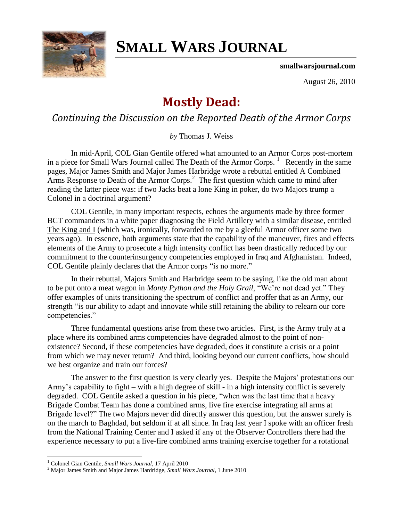

## **SMALL WARS JOURNAL**

**smallwarsjournal.com**

August 26, 2010

## **Mostly Dead:**

*Continuing the Discussion on the Reported Death of the Armor Corps*

*by* Thomas J. Weiss

In mid-April, COL Gian Gentile offered what amounted to an Armor Corps post-mortem in a piece for Small Wars Journal called [The Death of the Armor Corps.](http://smallwarsjournal.com/blog/journal/docs-temp/416-gentile.pdf)<sup>1</sup> Recently in the same pages, Major James Smith and Major James Harbridge wrote a rebuttal entitled [A Combined](http://smallwarsjournal.com/blog/journal/docs-temp/447-smith.pdf)  [Arms Response to Death of the Armor Corps.](http://smallwarsjournal.com/blog/journal/docs-temp/447-smith.pdf)<sup>2</sup> The first question which came to mind after reading the latter piece was: if two Jacks beat a lone King in poker, do two Majors trump a Colonel in a doctrinal argument?

COL Gentile, in many important respects, echoes the arguments made by three former BCT commanders in a white paper diagnosing the Field Artillery with a similar disease, entitled [The King and I](http://downloads.newyorker.com/downloads/TheKingandI.pdf) (which was, ironically, forwarded to me by a gleeful Armor officer some two years ago). In essence, both arguments state that the capability of the maneuver, fires and effects elements of the Army to prosecute a high intensity conflict has been drastically reduced by our commitment to the counterinsurgency competencies employed in Iraq and Afghanistan. Indeed, COL Gentile plainly declares that the Armor corps "is no more."

In their rebuttal, Majors Smith and Harbridge seem to be saying, like the old man about to be put onto a meat wagon in *Monty Python and the Holy Grail*, "We"re not dead yet." They offer examples of units transitioning the spectrum of conflict and proffer that as an Army, our strength "is our ability to adapt and innovate while still retaining the ability to relearn our core competencies."

Three fundamental questions arise from these two articles. First, is the Army truly at a place where its combined arms competencies have degraded almost to the point of nonexistence? Second, if these competencies have degraded, does it constitute a crisis or a point from which we may never return? And third, looking beyond our current conflicts, how should we best organize and train our forces?

The answer to the first question is very clearly yes. Despite the Majors" protestations our Army"s capability to fight – with a high degree of skill - in a high intensity conflict is severely degraded. COL Gentile asked a question in his piece, "when was the last time that a heavy Brigade Combat Team has done a combined arms, live fire exercise integrating all arms at Brigade level?" The two Majors never did directly answer this question, but the answer surely is on the march to Baghdad, but seldom if at all since. In Iraq last year I spoke with an officer fresh from the National Training Center and I asked if any of the Observer Controllers there had the experience necessary to put a live-fire combined arms training exercise together for a rotational

 $\overline{a}$ 

<sup>1</sup> Colonel Gian Gentile, *Small Wars Journal*, 17 April 2010

<sup>2</sup> Major James Smith and Major James Hardridge, *Small Wars Journal*, 1 June 2010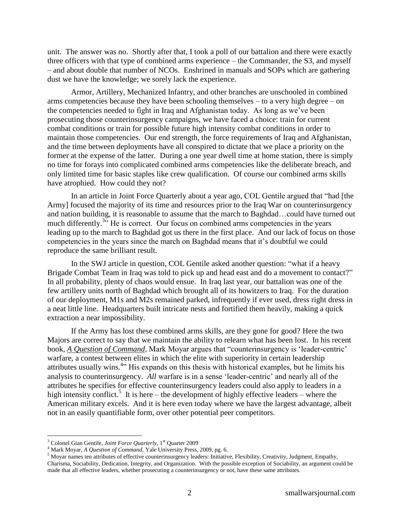unit. The answer was no. Shortly after that, I took a poll of our battalion and there were exactly three officers with that type of combined arms experience – the Commander, the S3, and myself – and about double that number of NCOs. Enshrined in manuals and SOPs which are gathering dust we have the knowledge; we sorely lack the experience.

Armor, Artillery, Mechanized Infantry, and other branches are unschooled in combined arms competencies because they have been schooling themselves – to a very high degree – on the competencies needed to fight in Iraq and Afghanistan today. As long as we"ve been prosecuting those counterinsurgency campaigns, we have faced a choice: train for current combat conditions or train for possible future high intensity combat conditions in order to maintain those competencies. Our end strength, the force requirements of Iraq and Afghanistan, and the time between deployments have all conspired to dictate that we place a priority on the former at the expense of the latter. During a one year dwell time at home station, there is simply no time for forays into complicated combined arms competencies like the deliberate breach, and only limited time for basic staples like crew qualification. Of course our combined arms skills have atrophied. How could they not?

In an article in Joint Force Quarterly about a year ago, COL Gentile argued that "had [the Army] focused the majority of its time and resources prior to the Iraq War on counterinsurgency and nation building, it is reasonable to assume that the march to Baghdad…could have turned out much differently.<sup>355</sup> He is correct. Our focus on combined arms competencies in the years leading up to the march to Baghdad got us there in the first place. And our lack of focus on those competencies in the years since the march on Baghdad means that it's doubtful we could reproduce the same brilliant result.

In the SWJ article in question, COL Gentile asked another question: "what if a heavy Brigade Combat Team in Iraq was told to pick up and head east and do a movement to contact?" In all probability, plenty of chaos would ensue. In Iraq last year, our battalion was one of the few artillery units north of Baghdad which brought all of its howitzers to Iraq. For the duration of our deployment, M1s and M2s remained parked, infrequently if ever used, dress right dress in a neat little line. Headquarters built intricate nests and fortified them heavily, making a quick extraction a near impossibility.

If the Army has lost these combined arms skills, are they gone for good? Here the two Majors are correct to say that we maintain the ability to relearn what has been lost. In his recent book, *[A Question of Command](http://www.amazon.com/Question-Command-Counterinsurgency-Library-Military/dp/0300152760)*, Mark Moyar argues that "counterinsurgency is "leader-centric" warfare, a contest between elites in which the elite with superiority in certain leadership attributes usually wins.<sup>4</sup><sup>3</sup> His expands on this thesis with historical examples, but he limits his analysis to counterinsurgency. *All* warfare is in a sense "leader-centric" and nearly all of the attributes he specifies for effective counterinsurgency leaders could also apply to leaders in a high intensity conflict.<sup>5</sup> It is here – the development of highly effective leaders – where the American military excels. And it is here even today where we have the largest advantage, albeit not in an easily quantifiable form, over other potential peer competitors.

 $\overline{a}$ 

<sup>&</sup>lt;sup>3</sup> Colonel Gian Gentile, *Joint Force Quarterly*, 1<sup>st</sup> Quarter 2009

<sup>4</sup> Mark Moyar, *A Question of Command*, Yale University Press, 2009, pg. 6.

<sup>5</sup> Moyar names ten attributes of effective counterinsurgency leaders: Initiative, Flexibility, Creativity, Judgment, Empathy, Charisma, Sociability, Dedication, Integrity, and Organization. With the possible exception of Sociability, an argument could be made that all effective leaders, whether prosecuting a counterinsurgency or not, have these same attributes.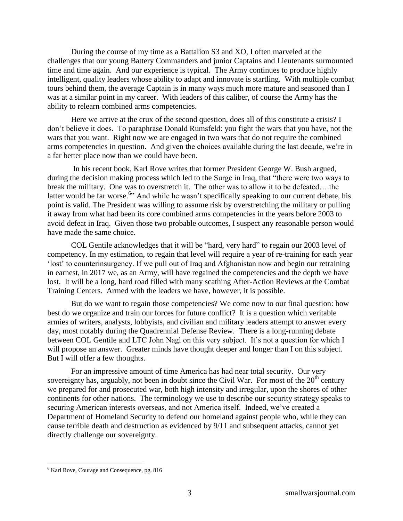During the course of my time as a Battalion S3 and XO, I often marveled at the challenges that our young Battery Commanders and junior Captains and Lieutenants surmounted time and time again. And our experience is typical. The Army continues to produce highly intelligent, quality leaders whose ability to adapt and innovate is startling. With multiple combat tours behind them, the average Captain is in many ways much more mature and seasoned than I was at a similar point in my career. With leaders of this caliber, of course the Army has the ability to relearn combined arms competencies.

Here we arrive at the crux of the second question, does all of this constitute a crisis? I don"t believe it does. To paraphrase Donald Rumsfeld: you fight the wars that you have, not the wars that you want. Right now we are engaged in two wars that do not require the combined arms competencies in question. And given the choices available during the last decade, we"re in a far better place now than we could have been.

In his recent book, Karl Rove writes that former President George W. Bush argued, during the decision making process which led to the Surge in Iraq, that "there were two ways to break the military. One was to overstretch it. The other was to allow it to be defeated….the latter would be far worse.<sup>6</sup> And while he wasn't specifically speaking to our current debate, his point is valid. The President was willing to assume risk by overstretching the military or pulling it away from what had been its core combined arms competencies in the years before 2003 to avoid defeat in Iraq. Given those two probable outcomes, I suspect any reasonable person would have made the same choice.

COL Gentile acknowledges that it will be "hard, very hard" to regain our 2003 level of competency. In my estimation, to regain that level will require a year of re-training for each year "lost" to counterinsurgency. If we pull out of Iraq and Afghanistan now and begin our retraining in earnest, in 2017 we, as an Army, will have regained the competencies and the depth we have lost. It will be a long, hard road filled with many scathing After-Action Reviews at the Combat Training Centers. Armed with the leaders we have, however, it is possible.

But do we want to regain those competencies? We come now to our final question: how best do we organize and train our forces for future conflict? It is a question which veritable armies of writers, analysts, lobbyists, and civilian and military leaders attempt to answer every day, most notably during the Quadrennial Defense Review. There is a long-running debate between COL Gentile and LTC John Nagl on this very subject. It's not a question for which I will propose an answer. Greater minds have thought deeper and longer than I on this subject. But I will offer a few thoughts.

For an impressive amount of time America has had near total security. Our very sovereignty has, arguably, not been in doubt since the Civil War. For most of the  $20<sup>th</sup>$  century we prepared for and prosecuted war, both high intensity and irregular, upon the shores of other continents for other nations. The terminology we use to describe our security strategy speaks to securing American interests overseas, and not America itself. Indeed, we"ve created a Department of Homeland Security to defend our homeland against people who, while they can cause terrible death and destruction as evidenced by 9/11 and subsequent attacks, cannot yet directly challenge our sovereignty.

 $\overline{a}$ 

<sup>6</sup> Karl Rove, Courage and Consequence, pg. 816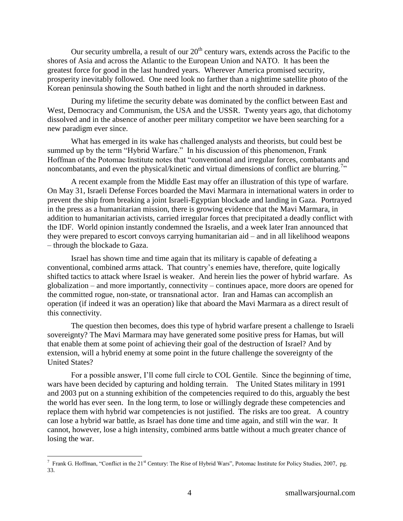Our security umbrella, a result of our  $20<sup>th</sup>$  century wars, extends across the Pacific to the shores of Asia and across the Atlantic to the European Union and NATO. It has been the greatest force for good in the last hundred years. Wherever America promised security, prosperity inevitably followed. One need look no farther than a nighttime satellite photo of the Korean peninsula showing the South bathed in light and the north shrouded in darkness.

During my lifetime the security debate was dominated by the conflict between East and West, Democracy and Communism, the USA and the USSR. Twenty years ago, that dichotomy dissolved and in the absence of another peer military competitor we have been searching for a new paradigm ever since.

What has emerged in its wake has challenged analysts and theorists, but could best be summed up by the term "Hybrid Warfare." In his discussion of this phenomenon, Frank Hoffman of the Potomac Institute notes that "conventional and irregular forces, combatants and noncombatants, and even the physical/kinetic and virtual dimensions of conflict are blurring.<sup>7</sup>

A recent example from the Middle East may offer an illustration of this type of warfare. On May 31, Israeli Defense Forces boarded the Mavi Marmara in international waters in order to prevent the ship from breaking a joint Israeli-Egyptian blockade and landing in Gaza. Portrayed in the press as a humanitarian mission, there is growing evidence that the Mavi Marmara, in addition to humanitarian activists, carried irregular forces that precipitated a deadly conflict with the IDF. World opinion instantly condemned the Israelis, and a week later Iran announced that they were prepared to escort convoys carrying humanitarian aid – and in all likelihood weapons – through the blockade to Gaza.

Israel has shown time and time again that its military is capable of defeating a conventional, combined arms attack. That country"s enemies have, therefore, quite logically shifted tactics to attack where Israel is weaker. And herein lies the power of hybrid warfare. As globalization – and more importantly, connectivity – continues apace, more doors are opened for the committed rogue, non-state, or transnational actor. Iran and Hamas can accomplish an operation (if indeed it was an operation) like that aboard the Mavi Marmara as a direct result of this connectivity.

The question then becomes, does this type of hybrid warfare present a challenge to Israeli sovereignty? The Mavi Marmara may have generated some positive press for Hamas, but will that enable them at some point of achieving their goal of the destruction of Israel? And by extension, will a hybrid enemy at some point in the future challenge the sovereignty of the United States?

For a possible answer, I"ll come full circle to COL Gentile. Since the beginning of time, wars have been decided by capturing and holding terrain. The United States military in 1991 and 2003 put on a stunning exhibition of the competencies required to do this, arguably the best the world has ever seen. In the long term, to lose or willingly degrade these competencies and replace them with hybrid war competencies is not justified. The risks are too great. A country can lose a hybrid war battle, as Israel has done time and time again, and still win the war. It cannot, however, lose a high intensity, combined arms battle without a much greater chance of losing the war.

<sup>&</sup>lt;sup>7</sup> Frank G. Hoffman, "Conflict in the 21<sup>st</sup> Century: The Rise of Hybrid Wars", Potomac Institute for Policy Studies, 2007, pg. 33.